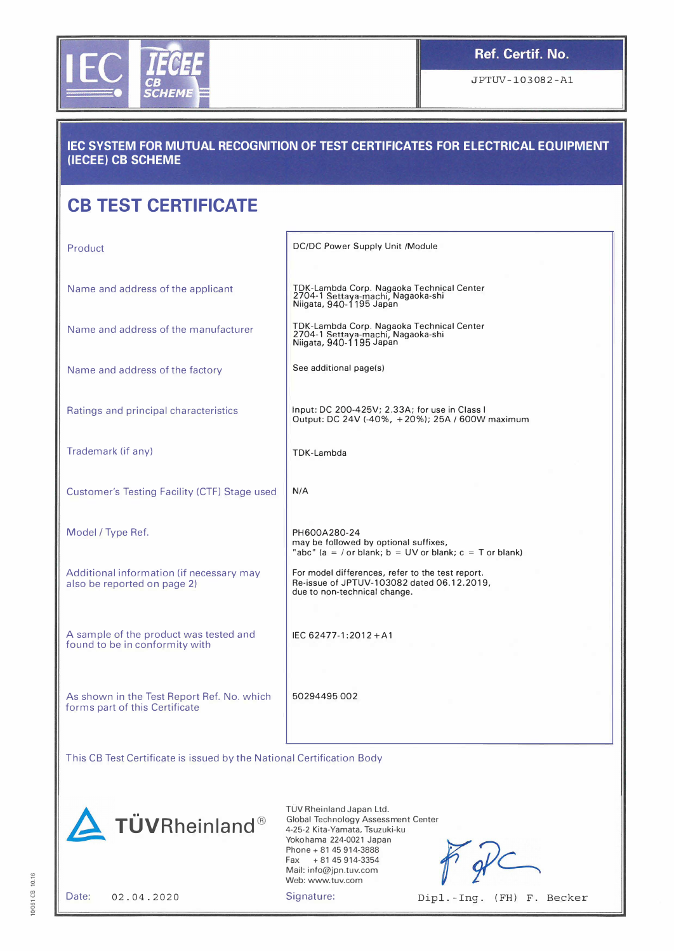

JPTUV-103082-Al

-------- -

## IEC SYSTEM FOR MUTUAL RECOGNITION OF TEST CERTIFICATES FOR ELECTRICAL EQUIPMENT (IECEE) CB SCHEME

-

--� -----

## CB TEST CERTIFICATE

| Product                                                                      | DC/DC Power Supply Unit /Module                                                                                                |
|------------------------------------------------------------------------------|--------------------------------------------------------------------------------------------------------------------------------|
| Name and address of the applicant                                            | TDK-Lambda Corp. Nagaoka Technical Center<br>2704-1 Settaya-machi, Nagaoka-shi<br>Niigata, 940-1195 Japan                      |
| Name and address of the manufacturer                                         | TDK-Lambda Corp. Nagaoka Technical Center<br>2704-1 Settaya-machi, Nagaoka-shi<br>Niigata, 940-1195 Japan                      |
| Name and address of the factory                                              | See additional page(s)                                                                                                         |
| Ratings and principal characteristics                                        | Input: DC 200-425V; 2.33A; for use in Class I<br>Output: DC 24V (-40%, +20%); 25A / 600W maximum                               |
| Trademark (if any)                                                           | TDK-Lambda                                                                                                                     |
| Customer's Testing Facility (CTF) Stage used                                 | N/A                                                                                                                            |
| Model / Type Ref.                                                            | PH600A280-24<br>may be followed by optional suffixes,<br>"abc" (a = / or blank; b = UV or blank; c = T or blank)               |
| Additional information (if necessary may<br>also be reported on page 2)      | For model differences, refer to the test report.<br>Re-issue of JPTUV-103082 dated 06.12.2019,<br>due to non-technical change. |
| A sample of the product was tested and<br>found to be in conformity with     | IEC 62477-1:2012 + A1                                                                                                          |
| As shown in the Test Report Ref. No. which<br>forms part of this Certificate | 50294495002                                                                                                                    |
|                                                                              |                                                                                                                                |

This CB Test Certificate is issued by the National Certification Body



TOV Rheinland Japan Ltd. Global Technology Assessment Center 4-25-2 Kita-Yamata, Tsuzuki-ku Yokohama 224-0021 Japan Phone  $+ 81 45 914 - 3888$ Fax + 81 45 914-3354 Mail: info@jpn.tuv.com Web: www.tuv.com

Signature: Dipl.-Ing. (FH) F. Becker